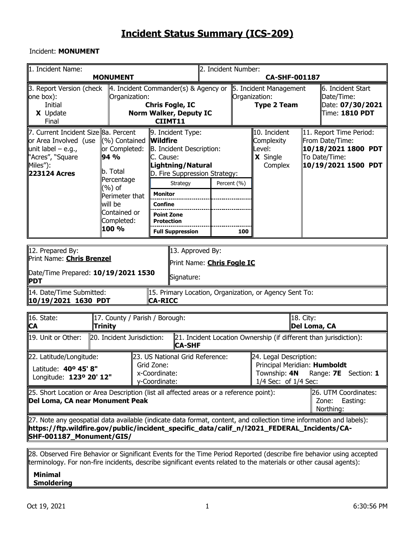#### Incident: **MONUMENT**

| 1. Incident Name:                                                                                                                                                                                                                               | <b>MONUMENT</b>                                                                                                                                |                                                                                                                                                                                                                                                   | 2. Incident Number:                                                                            |     | <b>CA-SHF-001187</b>                                              |                           |                                                                                                           |
|-------------------------------------------------------------------------------------------------------------------------------------------------------------------------------------------------------------------------------------------------|------------------------------------------------------------------------------------------------------------------------------------------------|---------------------------------------------------------------------------------------------------------------------------------------------------------------------------------------------------------------------------------------------------|------------------------------------------------------------------------------------------------|-----|-------------------------------------------------------------------|---------------------------|-----------------------------------------------------------------------------------------------------------|
| 3. Report Version (check<br>one box):<br>Initial<br>X Update                                                                                                                                                                                    | Organization:                                                                                                                                  | $\parallel$ 4. Incident Commander(s) & Agency or<br><b>Chris Fogle, IC</b><br><b>Norm Walker, Deputy IC</b>                                                                                                                                       |                                                                                                |     | 5. Incident Management<br>Organization:<br><b>Type 2 Team</b>     |                           | 6. Incident Start<br>Date/Time:<br>Date: 07/30/2021<br>Time: 1810 PDT                                     |
| Final                                                                                                                                                                                                                                           |                                                                                                                                                | CIIMT11                                                                                                                                                                                                                                           |                                                                                                |     |                                                                   |                           |                                                                                                           |
| 7. Current Incident Size 8a. Percent<br>or Area Involved (use<br>unit label $-$ e.g.,<br>"Acres", "Square<br>Miles"):<br><b>223124 Acres</b>                                                                                                    | (%) Contained<br>or Completed:<br>94 %<br>b. Total<br>Percentage<br>(%) of<br>Perimeter that<br>will be<br>Contained or<br>Completed:<br>100 % | 9. Incident Type:<br><b>Wildfire</b><br>B. Incident Description:<br>C. Cause:<br>Lightning/Natural<br>D. Fire Suppression Strategy:<br>Strategy<br><b>Monitor</b><br><b>Confine</b><br><b>Point Zone</b><br>Protection<br><b>Full Suppression</b> | Percent (%)                                                                                    | 100 | 10. Incident<br>Complexity<br>Level:<br>X Single<br>Complex       |                           | 11. Report Time Period:<br>From Date/Time:<br>10/18/2021 1800 PDT<br>To Date/Time:<br>10/19/2021 1500 PDT |
| 12. Prepared By:<br>Print Name: <b>Chris Brenzel</b><br>Date/Time Prepared: 10/19/2021 1530<br><b>PDT</b>                                                                                                                                       |                                                                                                                                                | 13. Approved By:<br>Signature:                                                                                                                                                                                                                    | Print Name: <b>Chris Fogle IC</b>                                                              |     |                                                                   |                           |                                                                                                           |
| 14. Date/Time Submitted:<br>  10/19/2021 1630 PDT                                                                                                                                                                                               |                                                                                                                                                | <b>CA-RICC</b>                                                                                                                                                                                                                                    |                                                                                                |     | 15. Primary Location, Organization, or Agency Sent To:            |                           |                                                                                                           |
| 16. State:<br><b>CA</b>                                                                                                                                                                                                                         | 17. County / Parish / Borough:<br>Trinity                                                                                                      |                                                                                                                                                                                                                                                   |                                                                                                |     |                                                                   | 18. City:<br>Del Loma, CA |                                                                                                           |
| 19. Unit or Other:                                                                                                                                                                                                                              | 20. Incident Jurisdiction:                                                                                                                     | <b>CA-SHF</b>                                                                                                                                                                                                                                     |                                                                                                |     | 21. Incident Location Ownership (if different than jurisdiction): |                           |                                                                                                           |
| 22. Latitude/Longitude:<br>Latitude: 40° 45' 8"<br>Longitude: 123º 20' 12"                                                                                                                                                                      |                                                                                                                                                | 23. US National Grid Reference:<br>Grid Zone:<br>x-Coordinate:<br>y-Coordinate:                                                                                                                                                                   | 24. Legal Description:<br>Principal Meridian: Humboldt<br>Township: 4N<br>1/4 Sec: of 1/4 Sec: |     |                                                                   |                           | Range: 7E Section: 1                                                                                      |
| 25. Short Location or Area Description (list all affected areas or a reference point):<br>Del Loma, CA near Monument Peak                                                                                                                       |                                                                                                                                                |                                                                                                                                                                                                                                                   |                                                                                                |     |                                                                   |                           | 26. UTM Coordinates:<br>Easting:<br>Zone:<br>Northing:                                                    |
| [27. Note any geospatial data available (indicate data format, content, and collection time information and labels):<br>https://ftp.wildfire.gov/public/incident_specific_data/calif_n/!2021_FEDERAL_Incidents/CA- <br>SHF-001187_Monument/GIS/ |                                                                                                                                                |                                                                                                                                                                                                                                                   |                                                                                                |     |                                                                   |                           |                                                                                                           |
|                                                                                                                                                                                                                                                 |                                                                                                                                                |                                                                                                                                                                                                                                                   |                                                                                                |     |                                                                   |                           |                                                                                                           |

28. Observed Fire Behavior or Significant Events for the Time Period Reported (describe fire behavior using accepted terminology. For non-fire incidents, describe significant events related to the materials or other causal agents):

#### **Minimal Smoldering**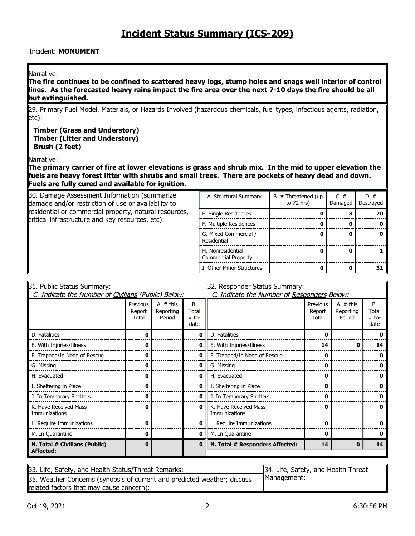#### Incident: **MONUMENT**

#### Narrative:

**The fire continues to be confined to scattered heavy logs, stump holes and snags well interior of control lines. As the forecasted heavy rains impact the fire area over the next 7-10 days the fire should be all but extinguished.** 

29. Primary Fuel Model, Materials, or Hazards Involved (hazardous chemicals, fuel types, infectious agents, radiation, etc):

**Timber (Grass and Understory) Timber (Litter and Understory) Brush (2 feet)**

Narrative:

**The primary carrier of fire at lower elevations is grass and shrub mix. In the mid to upper elevation the fuels are heavy forest litter with shrubs and small trees. There are pockets of heavy dead and down. Fuels are fully cured and available for ignition.**

| 30. Damage Assessment Information (summarize<br>damage and/or restriction of use or availability to | A. Structural Summary                    | B. # Threatened (up<br>to $72$ hrs) | C. $#$<br>Damaged | $D.$ #<br>Destroyed |
|-----------------------------------------------------------------------------------------------------|------------------------------------------|-------------------------------------|-------------------|---------------------|
| residential or commercial property, natural resources,                                              | E. Single Residences                     |                                     |                   | 20                  |
| critical infrastructure and key resources, etc):                                                    | F. Multiple Residences                   |                                     |                   |                     |
|                                                                                                     | G. Mixed Commercial /<br>Residential     |                                     |                   |                     |
|                                                                                                     | H. Nonresidential<br>Commercial Property |                                     |                   |                     |
|                                                                                                     | I. Other Minor Structures                |                                     |                   | 31                  |

| 31. Public Status Summary:                          |                             |                                    | 32. Responder Status Summary:  |                                             |                             |                                    |                                |  |
|-----------------------------------------------------|-----------------------------|------------------------------------|--------------------------------|---------------------------------------------|-----------------------------|------------------------------------|--------------------------------|--|
| C. Indicate the Number of Civilians (Public) Below: |                             |                                    |                                | C. Indicate the Number of Responders Below: |                             |                                    |                                |  |
|                                                     | Previous<br>Report<br>Total | A. $#$ this<br>Reporting<br>Period | B.<br>Total<br>$#$ to-<br>date |                                             | Previous<br>Report<br>Total | A. $#$ this<br>Reporting<br>Period | В.<br>Total<br>$#$ to-<br>date |  |
| D. Fatalities                                       | ŋ                           |                                    | 0                              | D. Fatalities                               | U                           |                                    |                                |  |
| E. With Injuries/Illness                            | o                           |                                    | 0                              | E. With Injuries/Illness                    | 14                          | o                                  | 14                             |  |
| F. Trapped/In Need of Rescue                        | O                           |                                    | 0                              | F. Trapped/In Need of Rescue                | 0                           |                                    |                                |  |
| G. Missing                                          | O                           |                                    | o                              | G. Missing                                  | 0                           |                                    |                                |  |
| H. Evacuated                                        | 0                           |                                    | 0                              | H. Evacuated                                | 0                           |                                    | n                              |  |
| I. Sheltering in Place                              | ŋ                           |                                    | 0                              | I. Sheltering in Place                      | 0                           |                                    |                                |  |
| J. In Temporary Shelters                            | 0                           |                                    | 0                              | J. In Temporary Shelters                    | 0                           |                                    |                                |  |
| K. Have Received Mass<br>Immunizations              | 0                           |                                    | $\mathbf o$                    | K. Have Received Mass<br>Immunizations      | 0                           |                                    | o                              |  |
| L. Require Immunizations                            | O                           |                                    | 0                              | L. Require Immunizations                    | 0                           |                                    |                                |  |
| M. In Quarantine                                    | 0                           |                                    | 0                              | M. In Quarantine                            | 0                           |                                    |                                |  |
| N. Total # Civilians (Public)<br>Affected:          | $\bf{0}$                    |                                    | 0                              | N. Total # Responders Affected:             | 14                          | n                                  | 14                             |  |

| 33. Life, Safety, and Health Status/Threat Remarks:                      | 34. Life, Safety, and Health Threat |
|--------------------------------------------------------------------------|-------------------------------------|
| 35. Weather Concerns (synopsis of current and predicted weather; discuss | Management:                         |
| related factors that may cause concern):                                 |                                     |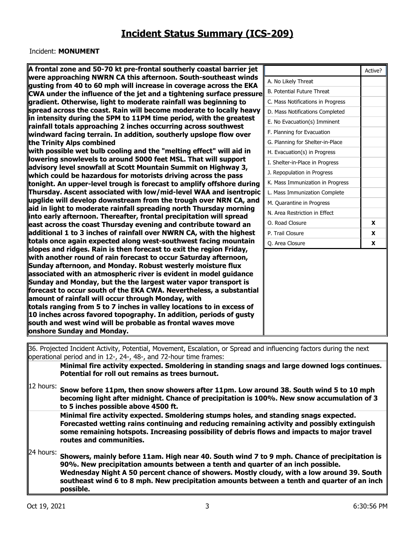#### Incident: **MONUMENT**

| A frontal zone and 50-70 kt pre-frontal southerly coastal barrier jet                                                                     |                                   | Active?      |
|-------------------------------------------------------------------------------------------------------------------------------------------|-----------------------------------|--------------|
| were approaching NWRN CA this afternoon. South-southeast winds                                                                            | A. No Likely Threat               |              |
| gusting from 40 to 60 mph will increase in coverage across the EKA                                                                        | <b>B. Potential Future Threat</b> |              |
| CWA under the influence of the jet and a tightening surface pressure                                                                      |                                   |              |
| gradient. Otherwise, light to moderate rainfall was beginning to                                                                          | C. Mass Notifications in Progress |              |
| spread across the coast. Rain will become moderate to locally heavy<br>in intensity during the 5PM to 11PM time period, with the greatest | D. Mass Notifications Completed   |              |
| rainfall totals approaching 2 inches occurring across southwest                                                                           | E. No Evacuation(s) Imminent      |              |
| windward facing terrain. In addition, southerly upslope flow over                                                                         | F. Planning for Evacuation        |              |
| the Trinity Alps combined                                                                                                                 | G. Planning for Shelter-in-Place  |              |
| with possible wet bulb cooling and the "melting effect" will aid in                                                                       | H. Evacuation(s) in Progress      |              |
| lowering snowlevels to around 5000 feet MSL. That will support                                                                            | I. Shelter-in-Place in Progress   |              |
| advisory level snowfall at Scott Mountain Summit on Highway 3,                                                                            | J. Repopulation in Progress       |              |
| which could be hazardous for motorists driving across the pass<br>tonight. An upper-level trough is forecast to amplify offshore during   | K. Mass Immunization in Progress  |              |
| Thursday. Ascent associated with low/mid-level WAA and isentropic                                                                         | L. Mass Immunization Complete     |              |
| upglide will develop downstream from the trough over NRN CA, and                                                                          | M. Quarantine in Progress         |              |
| aid in light to moderate rainfall spreading north Thursday morning                                                                        | N. Area Restriction in Effect     |              |
| into early afternoon. Thereafter, frontal precipitation will spread                                                                       | O. Road Closure                   | $\mathbf{x}$ |
| east across the coast Thursday evening and contribute toward an<br>additional 1 to 3 inches of rainfall over NWRN CA, with the highest    | P. Trail Closure                  | X            |
| totals once again expected along west-southwest facing mountain                                                                           |                                   |              |
| slopes and ridges. Rain is then forecast to exit the region Friday,                                                                       | Q. Area Closure                   | X            |
| with another round of rain forecast to occur Saturday afternoon,                                                                          |                                   |              |
| Sunday afternoon, and Monday. Robust westerly moisture flux                                                                               |                                   |              |
| associated with an atmospheric river is evident in model guidance                                                                         |                                   |              |
| Sunday and Monday, but the the largest water vapor transport is                                                                           |                                   |              |
| forecast to occur south of the EKA CWA. Nevertheless, a substantial                                                                       |                                   |              |
| amount of rainfall will occur through Monday, with                                                                                        |                                   |              |
| totals ranging from 5 to 7 inches in valley locations to in excess of                                                                     |                                   |              |
| 10 inches across favored topography. In addition, periods of gusty                                                                        |                                   |              |
| south and west wind will be probable as frontal waves move                                                                                |                                   |              |
| onshore Sunday and Monday.                                                                                                                |                                   |              |
| 136 Projected Incident Activity Potential Movement Escalation or Spread and influencing factors during the next                           |                                   |              |

1 Incident Activity, Potential, Movement, Escalation, or Spread and influencing factors during the next operational period and in 12-, 24-, 48-, and 72-hour time frames:

**Minimal fire activity expected. Smoldering in standing snags and large downed logs continues.**  Potential for roll out remains as trees burnout.

12 hours:

**Snow before 11pm, then snow showers after 11pm. Low around 38. South wind 5 to 10 mph becoming light after midnight. Chance of precipitation is 100%. New snow accumulation of 3 to 5 inches possible above 4500 ft.**

**Minimal fire activity expected. Smoldering stumps holes, and standing snags expected. Forecasted wetting rains continuing and reducing remaining activity and possibly extinguish some remaining hotspots. Increasing possibility of debris flows and impacts to major travel routes and communities.** 

24 hours: **Showers, mainly before 11am. High near 40. South wind 7 to 9 mph. Chance of precipitation is 90%. New precipitation amounts between a tenth and quarter of an inch possible. Wednesday Night A 50 percent chance of showers. Mostly cloudy, with a low around 39. South southeast wind 6 to 8 mph. New precipitation amounts between a tenth and quarter of an inch possible.**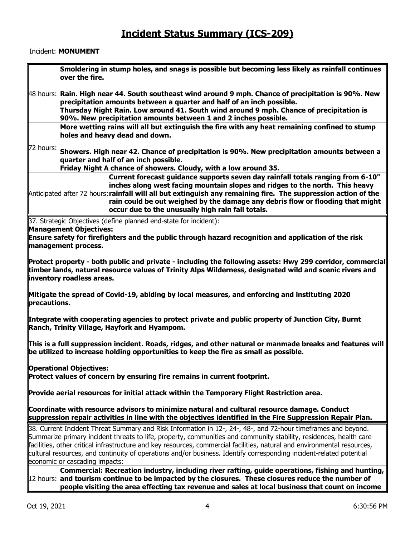#### Incident: **MONUMENT**

| Smoldering in stump holes, and snags is possible but becoming less likely as rainfall continues<br>over the fire.                                                                                                                                                                                                                                                                                                                                                                                                        |
|--------------------------------------------------------------------------------------------------------------------------------------------------------------------------------------------------------------------------------------------------------------------------------------------------------------------------------------------------------------------------------------------------------------------------------------------------------------------------------------------------------------------------|
| $\parallel$ 48 hours: Rain. High near 44. South southeast wind around 9 mph. Chance of precipitation is 90%. New<br>precipitation amounts between a quarter and half of an inch possible.<br>Thursday Night Rain. Low around 41. South wind around 9 mph. Chance of precipitation is<br>90%. New precipitation amounts between 1 and 2 inches possible.                                                                                                                                                                  |
| More wetting rains will all but extinguish the fire with any heat remaining confined to stump<br>holes and heavy dead and down.                                                                                                                                                                                                                                                                                                                                                                                          |
| 72 hours:<br>Showers. High near 42. Chance of precipitation is 90%. New precipitation amounts between a<br>quarter and half of an inch possible.<br>Friday Night A chance of showers. Cloudy, with a low around 35.                                                                                                                                                                                                                                                                                                      |
| Current forecast guidance supports seven day rainfall totals ranging from 6-10"<br>inches along west facing mountain slopes and ridges to the north. This heavy<br>Anticipated after 72 hours: rainfall will all but extinguish any remaining fire. The suppression action of the<br>rain could be out weighed by the damage any debris flow or flooding that might<br>occur due to the unusually high rain fall totals.                                                                                                 |
| 37. Strategic Objectives (define planned end-state for incident):                                                                                                                                                                                                                                                                                                                                                                                                                                                        |
| <b>Management Objectives:</b>                                                                                                                                                                                                                                                                                                                                                                                                                                                                                            |
| Ensure safety for firefighters and the public through hazard recognition and application of the risk<br>management process.                                                                                                                                                                                                                                                                                                                                                                                              |
|                                                                                                                                                                                                                                                                                                                                                                                                                                                                                                                          |
| Protect property - both public and private - including the following assets: Hwy 299 corridor, commercial<br>timber lands, natural resource values of Trinity Alps Wilderness, designated wild and scenic rivers and<br>inventory roadless areas.                                                                                                                                                                                                                                                                        |
| Mitigate the spread of Covid-19, abiding by local measures, and enforcing and instituting 2020<br>precautions.                                                                                                                                                                                                                                                                                                                                                                                                           |
| Integrate with cooperating agencies to protect private and public property of Junction City, Burnt<br>Ranch, Trinity Village, Hayfork and Hyampom.                                                                                                                                                                                                                                                                                                                                                                       |
| This is a full suppression incident. Roads, ridges, and other natural or manmade breaks and features will<br>be utilized to increase holding opportunities to keep the fire as small as possible.                                                                                                                                                                                                                                                                                                                        |
| <b>Operational Objectives:</b><br>Protect values of concern by ensuring fire remains in current footprint.                                                                                                                                                                                                                                                                                                                                                                                                               |
| Provide aerial resources for initial attack within the Temporary Flight Restriction area.                                                                                                                                                                                                                                                                                                                                                                                                                                |
| Coordinate with resource advisors to minimize natural and cultural resource damage. Conduct<br>suppression repair activities in line with the objectives identified in the Fire Suppression Repair Plan.                                                                                                                                                                                                                                                                                                                 |
| 38. Current Incident Threat Summary and Risk Information in 12-, 24-, 48-, and 72-hour timeframes and beyond.<br>Summarize primary incident threats to life, property, communities and community stability, residences, health care<br>facilities, other critical infrastructure and key resources, commercial facilities, natural and environmental resources,<br>cultural resources, and continuity of operations and/or business. Identify corresponding incident-related potential<br>economic or cascading impacts: |
| Commercial: Recreation industry, including river rafting, guide operations, fishing and hunting,                                                                                                                                                                                                                                                                                                                                                                                                                         |
| 12 hours: and tourism continue to be impacted by the closures. These closures reduce the number of<br>people visiting the area effecting tax revenue and sales at local business that count on income                                                                                                                                                                                                                                                                                                                    |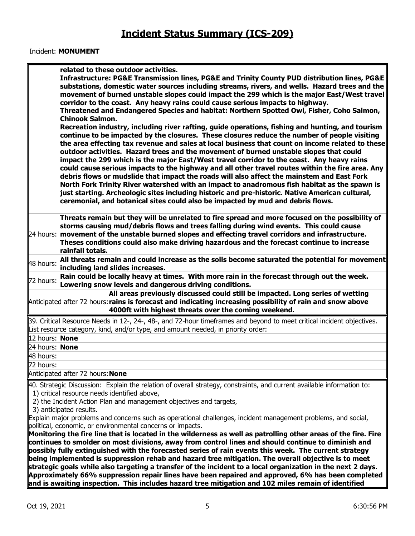#### Incident: **MONUMENT**

|                | related to these outdoor activities.<br>Infrastructure: PG&E Transmission lines, PG&E and Trinity County PUD distribution lines, PG&E<br>substations, domestic water sources including streams, rivers, and wells. Hazard trees and the<br>movement of burned unstable slopes could impact the 299 which is the major East/West travel<br>corridor to the coast. Any heavy rains could cause serious impacts to highway.<br>Threatened and Endangered Species and habitat: Northern Spotted Owl, Fisher, Coho Salmon,<br><b>Chinook Salmon.</b><br>Recreation industry, including river rafting, guide operations, fishing and hunting, and tourism<br>continue to be impacted by the closures. These closures reduce the number of people visiting<br>the area effecting tax revenue and sales at local business that count on income related to these<br>outdoor activities. Hazard trees and the movement of burned unstable slopes that could<br>impact the 299 which is the major East/West travel corridor to the coast. Any heavy rains<br>could cause serious impacts to the highway and all other travel routes within the fire area. Any<br>debris flows or mudslide that impact the roads will also affect the mainstem and East Fork<br>North Fork Trinity River watershed with an impact to anadromous fish habitat as the spawn is<br>just starting. Archeologic sites including historic and pre-historic. Native American cultural,<br>ceremonial, and botanical sites could also be impacted by mud and debris flows. |
|----------------|----------------------------------------------------------------------------------------------------------------------------------------------------------------------------------------------------------------------------------------------------------------------------------------------------------------------------------------------------------------------------------------------------------------------------------------------------------------------------------------------------------------------------------------------------------------------------------------------------------------------------------------------------------------------------------------------------------------------------------------------------------------------------------------------------------------------------------------------------------------------------------------------------------------------------------------------------------------------------------------------------------------------------------------------------------------------------------------------------------------------------------------------------------------------------------------------------------------------------------------------------------------------------------------------------------------------------------------------------------------------------------------------------------------------------------------------------------------------------------------------------------------------------------------|
|                | Threats remain but they will be unrelated to fire spread and more focused on the possibility of<br>storms causing mud/debris flows and trees falling during wind events. This could cause<br>24 hours: movement of the unstable burned slopes and effecting travel corridors and infrastructure.<br>Theses conditions could also make driving hazardous and the forecast continue to increase<br>rainfall totals.                                                                                                                                                                                                                                                                                                                                                                                                                                                                                                                                                                                                                                                                                                                                                                                                                                                                                                                                                                                                                                                                                                                      |
| 48 hours:      | All threats remain and could increase as the soils become saturated the potential for movement<br>including land slides increases.                                                                                                                                                                                                                                                                                                                                                                                                                                                                                                                                                                                                                                                                                                                                                                                                                                                                                                                                                                                                                                                                                                                                                                                                                                                                                                                                                                                                     |
| 72 hours:      | Rain could be locally heavy at times. With more rain in the forecast through out the week.<br>Lowering snow levels and dangerous driving conditions.                                                                                                                                                                                                                                                                                                                                                                                                                                                                                                                                                                                                                                                                                                                                                                                                                                                                                                                                                                                                                                                                                                                                                                                                                                                                                                                                                                                   |
|                | All areas previously discussed could still be impacted. Long series of wetting<br>Anticipated after 72 hours: rains is forecast and indicating increasing possibility of rain and snow above<br>4000ft with highest threats over the coming weekend.                                                                                                                                                                                                                                                                                                                                                                                                                                                                                                                                                                                                                                                                                                                                                                                                                                                                                                                                                                                                                                                                                                                                                                                                                                                                                   |
|                | 39. Critical Resource Needs in 12-, 24-, 48-, and 72-hour timeframes and beyond to meet critical incident objectives.<br>List resource category, kind, and/or type, and amount needed, in priority order:                                                                                                                                                                                                                                                                                                                                                                                                                                                                                                                                                                                                                                                                                                                                                                                                                                                                                                                                                                                                                                                                                                                                                                                                                                                                                                                              |
| 12 hours: None |                                                                                                                                                                                                                                                                                                                                                                                                                                                                                                                                                                                                                                                                                                                                                                                                                                                                                                                                                                                                                                                                                                                                                                                                                                                                                                                                                                                                                                                                                                                                        |
| 24 hours: None |                                                                                                                                                                                                                                                                                                                                                                                                                                                                                                                                                                                                                                                                                                                                                                                                                                                                                                                                                                                                                                                                                                                                                                                                                                                                                                                                                                                                                                                                                                                                        |
| 48 hours:      |                                                                                                                                                                                                                                                                                                                                                                                                                                                                                                                                                                                                                                                                                                                                                                                                                                                                                                                                                                                                                                                                                                                                                                                                                                                                                                                                                                                                                                                                                                                                        |
| 72 hours:      |                                                                                                                                                                                                                                                                                                                                                                                                                                                                                                                                                                                                                                                                                                                                                                                                                                                                                                                                                                                                                                                                                                                                                                                                                                                                                                                                                                                                                                                                                                                                        |
|                | Anticipated after 72 hours: None                                                                                                                                                                                                                                                                                                                                                                                                                                                                                                                                                                                                                                                                                                                                                                                                                                                                                                                                                                                                                                                                                                                                                                                                                                                                                                                                                                                                                                                                                                       |
|                | 40. Strategic Discussion: Explain the relation of overall strategy, constraints, and current available information to:<br>1) critical resource needs identified above,<br>2) the Incident Action Plan and management objectives and targets,<br>3) anticipated results.<br>Explain major problems and concerns such as operational challenges, incident management problems, and social,                                                                                                                                                                                                                                                                                                                                                                                                                                                                                                                                                                                                                                                                                                                                                                                                                                                                                                                                                                                                                                                                                                                                               |

political, economic, or environmental concerns or impacts.

**Monitoring the fire line that is located in the wilderness as well as patrolling other areas of the fire. Fire continues to smolder on most divisions, away from control lines and should continue to diminish and possibly fully extinguished with the forecasted series of rain events this week. The current strategy being implemented is suppression rehab and hazard tree mitigation. The overall objective is to meet strategic goals while also targeting a transfer of the incident to a local organization in the next 2 days. Approximately 66% suppression repair lines have been repaired and approved, 6% has been completed and is awaiting inspection. This includes hazard tree mitigation and 102 miles remain of identified**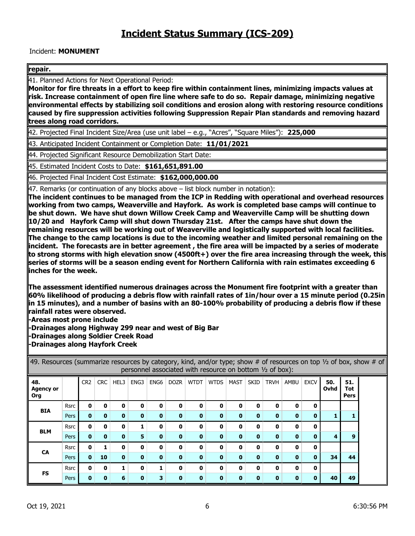#### Incident: **MONUMENT**

#### **repair.**

41. Planned Actions for Next Operational Period:

**Monitor for fire threats in a effort to keep fire within containment lines, minimizing impacts values at risk. Increase containment of open fire line where safe to do so. Repair damage, minimizing negative environmental effects by stabilizing soil conditions and erosion along with restoring resource conditions caused by fire suppression activities following Suppression Repair Plan standards and removing hazard trees along road corridors.** 

42. Projected Final Incident Size/Area (use unit label – e.g., "Acres", "Square Miles"): **225,000**

43. Anticipated Incident Containment or Completion Date: **11/01/2021**

44. Projected Significant Resource Demobilization Start Date:

45. Estimated Incident Costs to Date: **\$161,651,891.00**

46. Projected Final Incident Cost Estimate: **\$162,000,000.00**

47. Remarks (or continuation of any blocks above – list block number in notation):

**The incident continues to be managed from the ICP in Redding with operational and overhead resources working from two camps, Weaverville and Hayfork. As work is completed base camps will continue to be shut down. We have shut down Willow Creek Camp and Weaverville Camp will be shutting down 10/20 and Hayfork Camp will shut down Thursday 21st. After the camps have shut down the remaining resources will be working out of Weaverville and logistically supported with local facilities. The change to the camp locations is due to the incoming weather and limited personal remaining on the incident. The forecasts are in better agreement , the fire area will be impacted by a series of moderate to strong storms with high elevation snow (4500ft+) over the fire area increasing through the week, this series of storms will be a season ending event for Northern California with rain estimates exceeding 6 inches for the week.** 

**The assessment identified numerous drainages across the Monument fire footprint with a greater than 60% likelihood of producing a debris flow with rainfall rates of 1in/hour over a 15 minute period (0.25in in 15 minutes), and a number of basins with an 80-100% probability of producing a debris flow if these rainfall rates were observed.** 

**-Areas most prone include** 

**-Drainages along Highway 299 near and west of Big Bar** 

**-Drainages along Soldier Creek Road** 

**-Drainages along Hayfork Creek** 

49. Resources (summarize resources by category, kind, and/or type; show # of resources on top  $\frac{1}{2}$  of box, show # of personnel associated with resource on bottom ½ of box): **48. Agency or Org** CR2 CRC HEL3 ENG3 ENG6 DOZR WTDT WTDS MAST SKID TRVH AMBU EXCV **50. Ovhd 51. Tot Pers BIA** Rsrc **0 0 0 0 0 0 0 0 0 0 0 0 0** Pers **0 0 0 0 0 0 0 0 0 0 0 0 0 1 1 BLM** Rsrc **0 0 0 1 0 0 0 0 0 0 0 0 0** Pers **0 0 0 5 0 0 0 0 0 0 0 0 0 4 9 CA** Rsrc **0 1 0 0 0 0 0 0 0 0 0 0 0** Pers **0 10 0 0 0 0 0 0 0 0 0 0 0 34 44 FS** Rsrc **0 0 1 0 1 0 0 0 0 0 0 0 0** Pers **0 0 6 0 3 0 0 0 0 0 0 0 0 40 49**